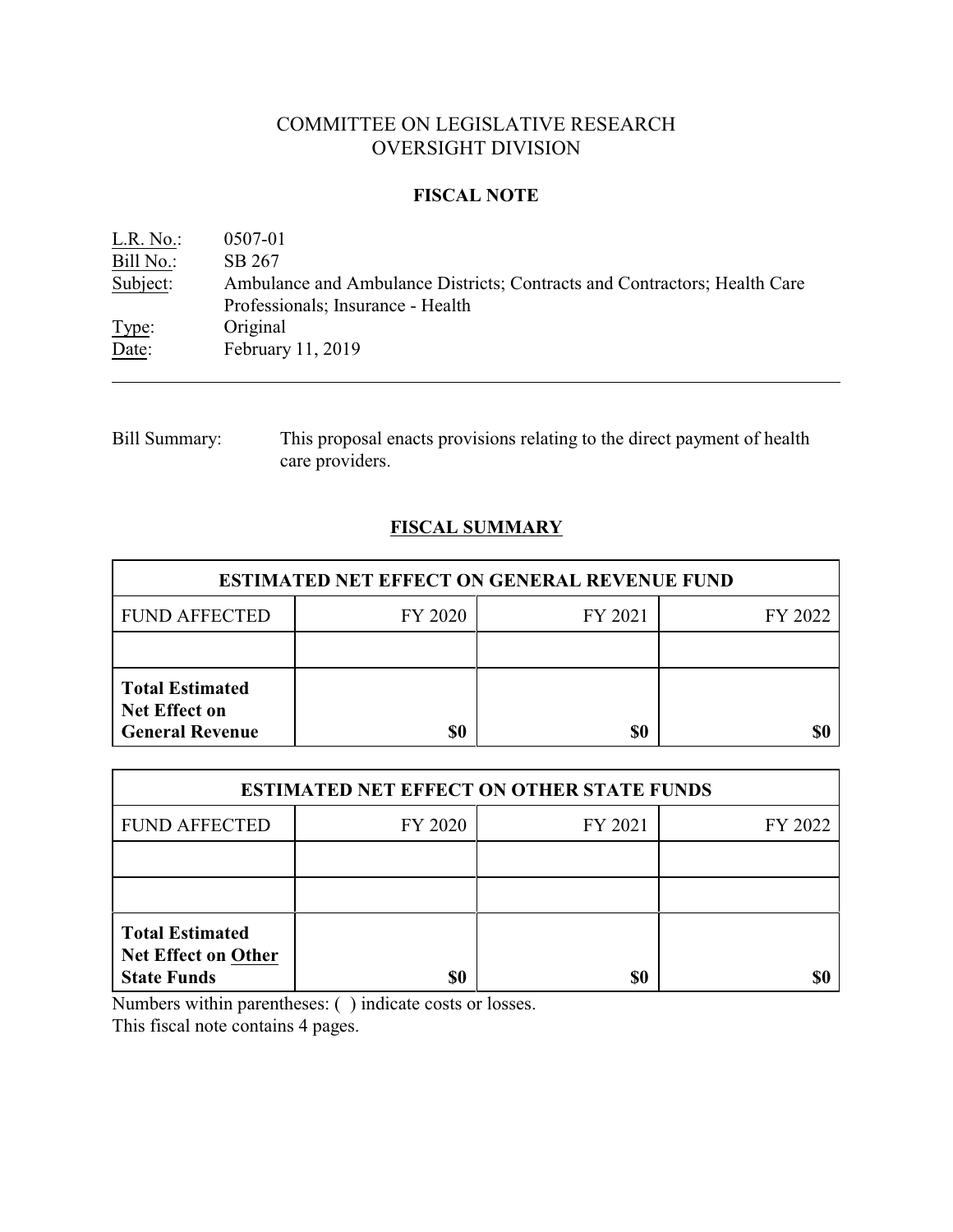# COMMITTEE ON LEGISLATIVE RESEARCH OVERSIGHT DIVISION

### **FISCAL NOTE**

| L.R. No.  | 0507-01                                                                   |
|-----------|---------------------------------------------------------------------------|
| Bill No.: | SB 267                                                                    |
| Subject:  | Ambulance and Ambulance Districts; Contracts and Contractors; Health Care |
|           | Professionals; Insurance - Health                                         |
| Type:     | Original                                                                  |
| Date:     | February 11, 2019                                                         |

Bill Summary: This proposal enacts provisions relating to the direct payment of health care providers.

# **FISCAL SUMMARY**

| <b>ESTIMATED NET EFFECT ON GENERAL REVENUE FUND</b>                      |         |         |         |  |
|--------------------------------------------------------------------------|---------|---------|---------|--|
| <b>FUND AFFECTED</b>                                                     | FY 2020 | FY 2021 | FY 2022 |  |
|                                                                          |         |         |         |  |
| <b>Total Estimated</b><br><b>Net Effect on</b><br><b>General Revenue</b> | \$0     | \$0     |         |  |

| <b>ESTIMATED NET EFFECT ON OTHER STATE FUNDS</b>                           |         |         |         |  |
|----------------------------------------------------------------------------|---------|---------|---------|--|
| <b>FUND AFFECTED</b>                                                       | FY 2020 | FY 2021 | FY 2022 |  |
|                                                                            |         |         |         |  |
|                                                                            |         |         |         |  |
| <b>Total Estimated</b><br><b>Net Effect on Other</b><br><b>State Funds</b> | \$0     | \$0     |         |  |

Numbers within parentheses: ( ) indicate costs or losses.

This fiscal note contains 4 pages.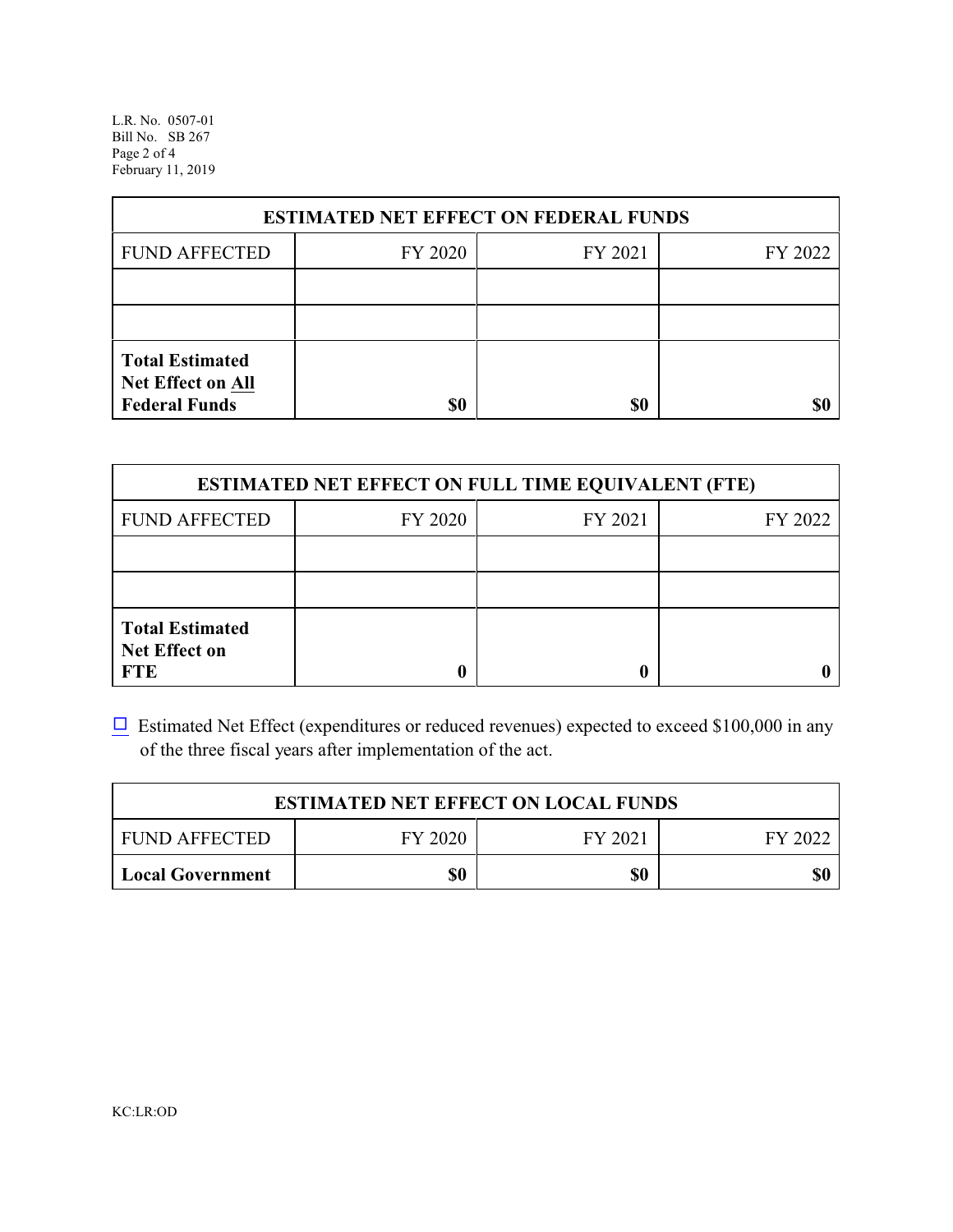L.R. No. 0507-01 Bill No. SB 267 Page 2 of 4 February 11, 2019

| <b>ESTIMATED NET EFFECT ON FEDERAL FUNDS</b>                        |         |         |         |  |
|---------------------------------------------------------------------|---------|---------|---------|--|
| <b>FUND AFFECTED</b>                                                | FY 2020 | FY 2021 | FY 2022 |  |
|                                                                     |         |         |         |  |
|                                                                     |         |         |         |  |
| <b>Total Estimated</b><br>Net Effect on All<br><b>Federal Funds</b> | \$0     | \$0     |         |  |

| <b>ESTIMATED NET EFFECT ON FULL TIME EQUIVALENT (FTE)</b>    |         |         |         |  |
|--------------------------------------------------------------|---------|---------|---------|--|
| <b>FUND AFFECTED</b>                                         | FY 2020 | FY 2021 | FY 2022 |  |
|                                                              |         |         |         |  |
|                                                              |         |         |         |  |
| <b>Total Estimated</b><br><b>Net Effect on</b><br><b>FTE</b> |         |         |         |  |

 $\Box$  Estimated Net Effect (expenditures or reduced revenues) expected to exceed \$100,000 in any of the three fiscal years after implementation of the act.

| <b>ESTIMATED NET EFFECT ON LOCAL FUNDS</b> |         |         |         |  |
|--------------------------------------------|---------|---------|---------|--|
| <b>FUND AFFECTED</b>                       | FY 2020 | FY 2021 | FY 2022 |  |
| Local Government                           | \$0     | \$0     | \$0     |  |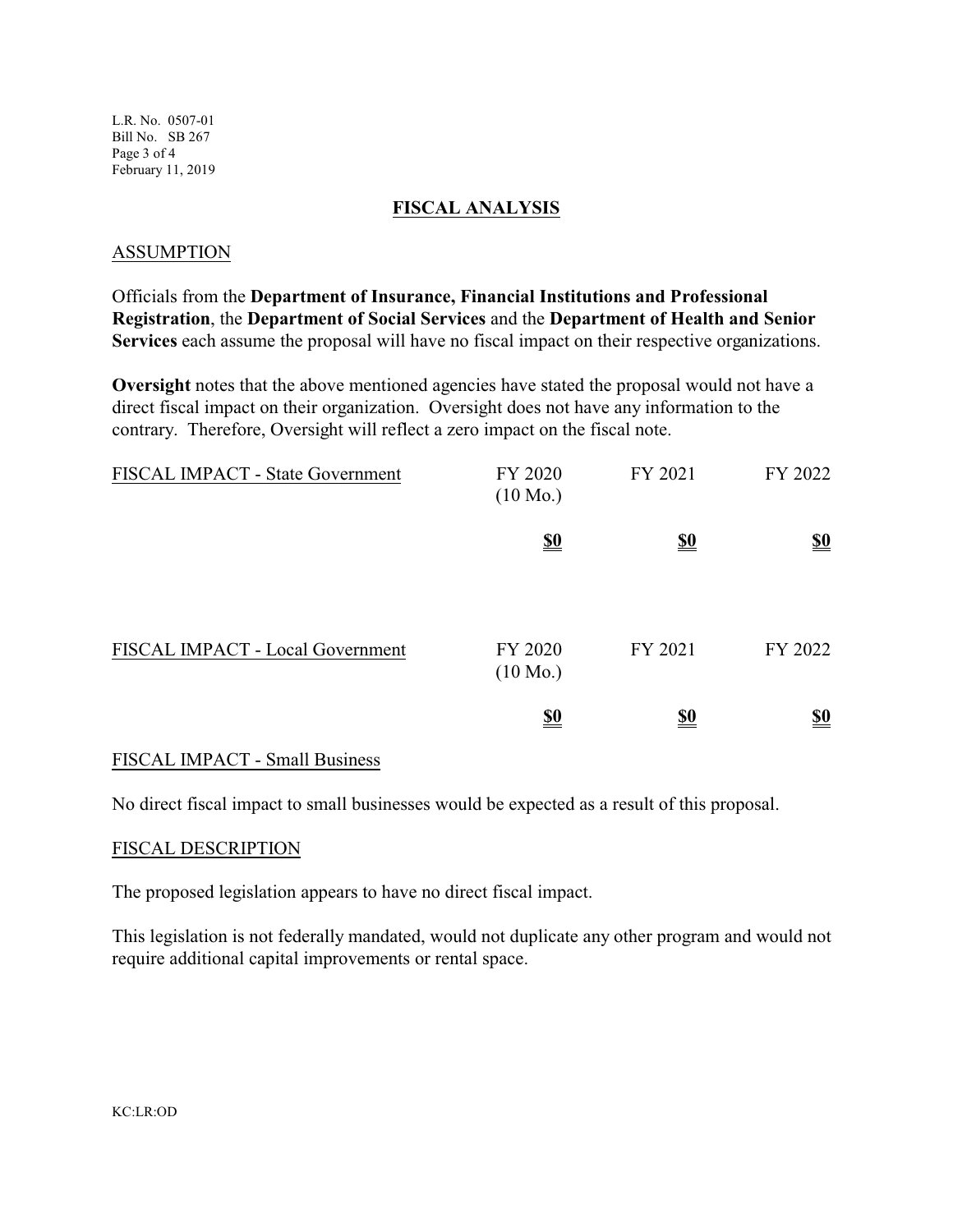L.R. No. 0507-01 Bill No. SB 267 Page 3 of 4 February 11, 2019

#### **FISCAL ANALYSIS**

#### ASSUMPTION

Officials from the **Department of Insurance, Financial Institutions and Professional Registration**, the **Department of Social Services** and the **Department of Health and Senior Services** each assume the proposal will have no fiscal impact on their respective organizations.

**Oversight** notes that the above mentioned agencies have stated the proposal would not have a direct fiscal impact on their organization. Oversight does not have any information to the contrary. Therefore, Oversight will reflect a zero impact on the fiscal note.

| FISCAL IMPACT - State Government | FY 2020<br>$(10 \text{ Mo.})$ | FY 2021    | FY 2022                       |
|----------------------------------|-------------------------------|------------|-------------------------------|
|                                  | <u>\$0</u>                    | <u>\$0</u> | <u>\$0</u>                    |
| FISCAL IMPACT - Local Government | FY 2020<br>$(10 \text{ Mo.})$ | FY 2021    | FY 2022                       |
|                                  | $\underline{\underline{\$0}}$ | <u>\$0</u> | $\underline{\underline{\$0}}$ |

### FISCAL IMPACT - Small Business

No direct fiscal impact to small businesses would be expected as a result of this proposal.

#### FISCAL DESCRIPTION

The proposed legislation appears to have no direct fiscal impact.

This legislation is not federally mandated, would not duplicate any other program and would not require additional capital improvements or rental space.